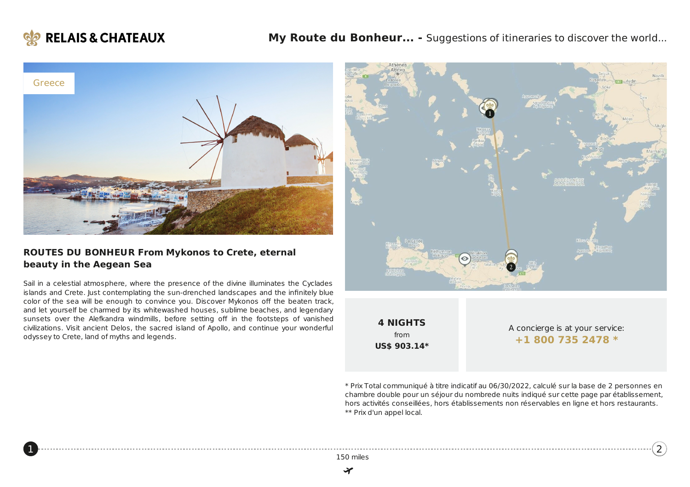

<span id="page-0-0"></span>[1](#page-0-0)



### **ROUTES DU BONHEUR From Mykonos to Crete, eternal beauty in the Aegean Sea**

Sail in a celestial atmosphere, where the presence of the divine illuminates the Cyclades islands and Crete. Just contemplating the sun-drenched landscapes and the infinitely blue color of the sea will be enough to convince you. Discover Mykonos off the beaten track, and let yourself be charmed by its whitewashed houses, sublime beaches, and legendary sunsets over the Alefkandra windmills, before setting off in the footsteps of vanished civilizations. Visit ancient Delos, the sacred island of Apollo, and continue your wonderful odyssey to Crete, land of myths and legends.



**4 NIGHTS** from **US\$ 903.14\***

A concierge is at your service: **+1 800 735 [2478](tel:+18007352478) \***

[2](#page-3-0))

\* Prix Total communiqué à titre indicatif au 06/30/2022, calculé sur la base de 2 personnes en chambre double pour un séjour du nombrede nuits indiqué sur cette page par établissement, hors activités conseillées, hors établissements non réservables en ligne et hors restaurants. \*\* Prix d'un appel local.

150 miles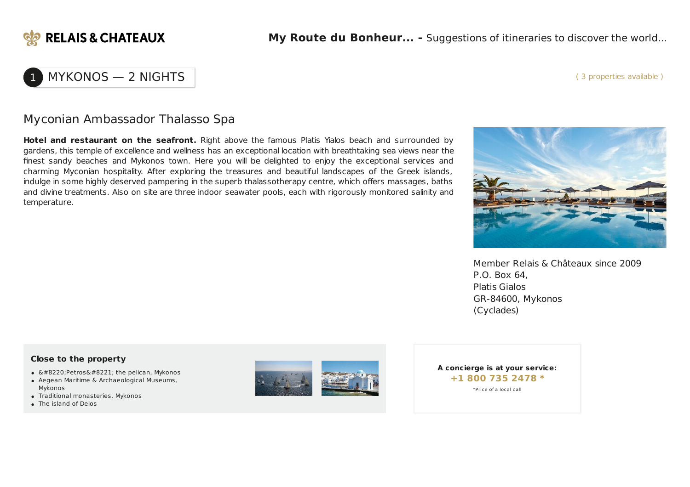

#### ( 3 properties available )

## MYKONOS — 2 NIGHTS

## Myconian Ambassador Thalasso Spa

**Hotel and restaurant on the seafront.** Right above the famous Platis Yialos beach and surrounded by gardens, this temple of excellence and wellness has an exceptional location with breathtaking sea views near the finest sandy beaches and Mykonos town. Here you will be delighted to enjoy the exceptional services and charming Myconian hospitality. After exploring the treasures and beautiful landscapes of the Greek islands, indulge in some highly deserved pampering in the superb thalassotherapy centre, which offers massages, baths and divine treatments. Also on site are three indoor seawater pools, each with rigorously monitored salinity and temperature.



Member Relais & Châteaux since 2009 P.O. Box 64, Platis Gialos GR-84600, Mykonos (Cyclades)

### **Close to the property**

- $\bullet$  "Petros" the pelican, Mykonos
- Aegean Maritime & Archaeological Museums, Mykonos
- Traditional monasteries, Mykonos
- The island of Delos



**A concierge is at your service: +1 800 735 [2478](tel:+18007352478) \*** \*Price of a local call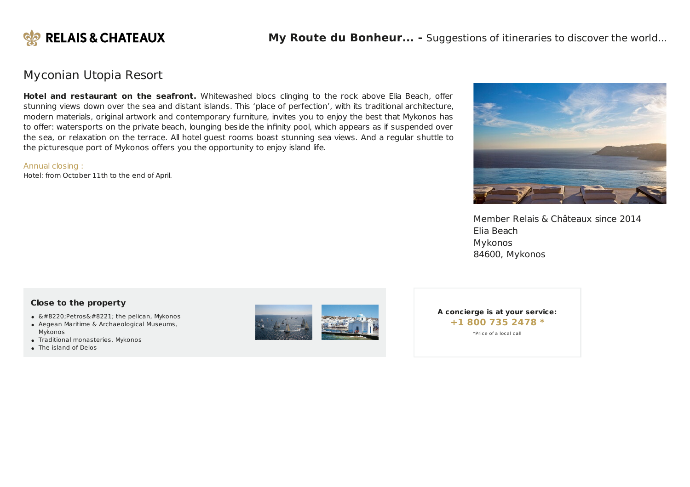

### Myconian Utopia Resort

**Hotel and restaurant on the seafront.** Whitewashed blocs clinging to the rock above Elia Beach, offer stunning views down over the sea and distant islands. This 'place of perfection', with its traditional architecture, modern materials, original artwork and contemporary furniture, invites you to enjoy the best that Mykonos has to offer: watersports on the private beach, lounging beside the infinity pool, which appears as if suspended over the sea, or relaxation on the terrace. All hotel guest rooms boast stunning sea views. And a regular shuttle to the picturesque port of Mykonos offers you the opportunity to enjoy island life.

#### Annual closing :

Hotel: from October 11th to the end of April.



Member Relais & Châteaux since 2014 Elia Beach Mykonos 84600, Mykonos

### **Close to the property**

- $&\#8220;$ Petros $&\#8221;$  the pelican, Mykonos
- Aegean Maritime & Archaeological Museums, Mykonos
- Traditional monasteries, Mykonos
- The island of Delos



**A concierge is at your service: +1 800 735 [2478](tel:+18007352478) \*** \*Price of a local call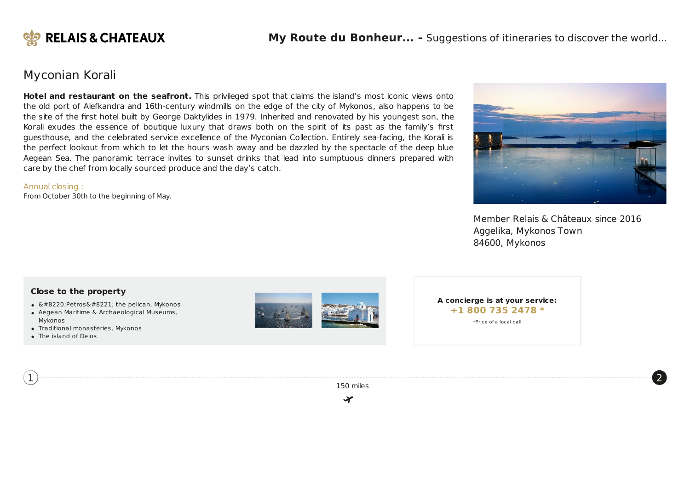

## Myconian Korali

**Hotel and restaurant on the seafront.** This privileged spot that claims the island's most iconic views onto the old port of Alefkandra and 16th-century windmills on the edge of the city of Mykonos, also happens to be the site of the first hotel built by George Daktylides in 1979. Inherited and renovated by his youngest son, the Korali exudes the essence of boutique luxury that draws both on the spirit of its past as the family's first guesthouse, and the celebrated service excellence of the Myconian Collection. Entirely sea-facing, the Korali is the perfect lookout from which to let the hours wash away and be dazzled by the spectacle of the deep blue Aegean Sea. The panoramic terrace invites to sunset drinks that lead into sumptuous dinners prepared with care by the chef from locally sourced produce and the day's catch.

### Annual closing :

From October 30th to the beginning of May.



Member Relais & Châteaux since 2016 Aggelika, Mykonos Town 84600, Mykonos

[2](#page-3-0)

### **Close to the property**

- $\bullet$  "Petros" the pelican, Mykonos
- Aegean Maritime & Archaeological Museums, Mykonos
- Traditional monasteries, Mykonos
- The island of Delos

<span id="page-3-0"></span>[1](#page-0-0)



**A concierge is at your service: +1 800 735 [2478](tel:+18007352478) \*** \*Price of a local call

150 miles

₩